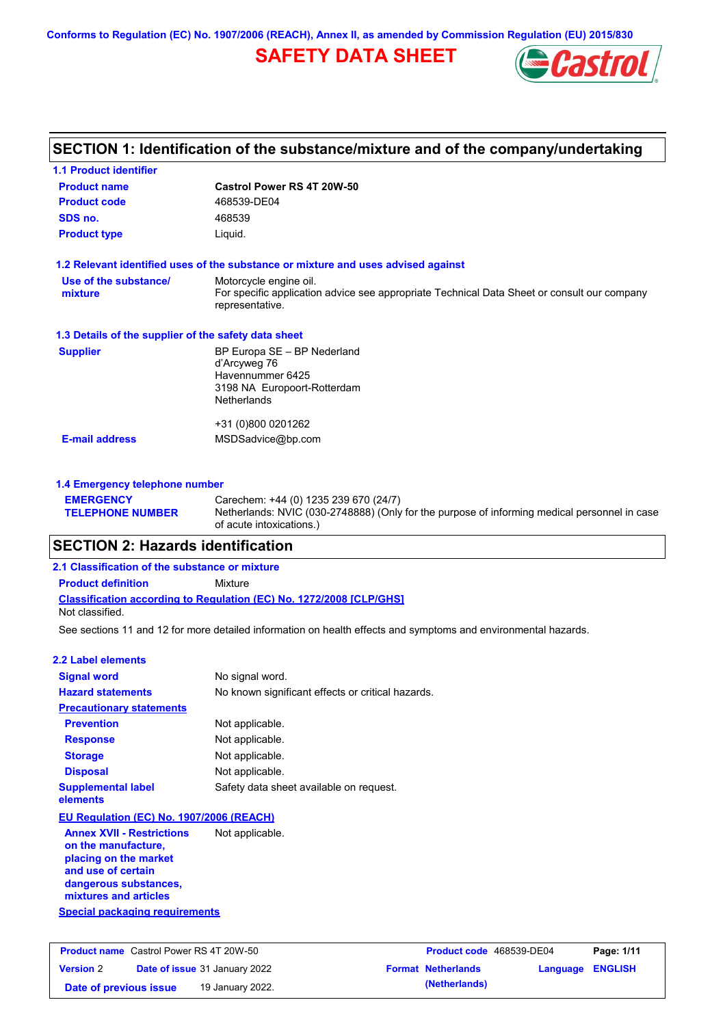**Conforms to Regulation (EC) No. 1907/2006 (REACH), Annex II, as amended by Commission Regulation (EU) 2015/830**

# **SAFETY DATA SHEET**



# **SECTION 1: Identification of the substance/mixture and of the company/undertaking**

| <b>1.1 Product identifier</b>                        |                                                                                                                |
|------------------------------------------------------|----------------------------------------------------------------------------------------------------------------|
| <b>Product name</b>                                  | Castrol Power RS 4T 20W-50                                                                                     |
| <b>Product code</b>                                  | 468539-DE04                                                                                                    |
| SDS no.                                              | 468539                                                                                                         |
| <b>Product type</b>                                  | Liquid.                                                                                                        |
|                                                      | 1.2 Relevant identified uses of the substance or mixture and uses advised against                              |
| Use of the substance/                                | Motorcycle engine oil.                                                                                         |
| mixture                                              | For specific application advice see appropriate Technical Data Sheet or consult our company<br>representative. |
| 1.3 Details of the supplier of the safety data sheet |                                                                                                                |
| <b>Supplier</b>                                      | BP Europa SE - BP Nederland                                                                                    |
|                                                      | d'Arcyweg 76<br>Havennummer 6425                                                                               |
|                                                      | 3198 NA Europoort-Rotterdam                                                                                    |
|                                                      | <b>Netherlands</b>                                                                                             |
|                                                      | +31 (0)800 0201262                                                                                             |
| <b>E-mail address</b>                                | MSDSadvice@bp.com                                                                                              |
|                                                      |                                                                                                                |
| 1.4 Emergency telephone number                       |                                                                                                                |

#### **EMERGENCY TELEPHONE NUMBER** Carechem: +44 (0) 1235 239 670 (24/7) Netherlands: NVIC (030-2748888) (Only for the purpose of informing medical personnel in case of acute intoxications.)

## **SECTION 2: Hazards identification**

## **Classification according to Regulation (EC) No. 1272/2008 [CLP/GHS] 2.1 Classification of the substance or mixture Product definition** Mixture Not classified.

See sections 11 and 12 for more detailed information on health effects and symptoms and environmental hazards.

| 2.2 Label elements                                                                                                                                       |                                                   |
|----------------------------------------------------------------------------------------------------------------------------------------------------------|---------------------------------------------------|
| <b>Signal word</b>                                                                                                                                       | No signal word.                                   |
| <b>Hazard statements</b>                                                                                                                                 | No known significant effects or critical hazards. |
| <b>Precautionary statements</b>                                                                                                                          |                                                   |
| <b>Prevention</b>                                                                                                                                        | Not applicable.                                   |
| <b>Response</b>                                                                                                                                          | Not applicable.                                   |
| <b>Storage</b>                                                                                                                                           | Not applicable.                                   |
| <b>Disposal</b>                                                                                                                                          | Not applicable.                                   |
| <b>Supplemental label</b><br>elements                                                                                                                    | Safety data sheet available on request.           |
| EU Regulation (EC) No. 1907/2006 (REACH)                                                                                                                 |                                                   |
| <b>Annex XVII - Restrictions</b><br>on the manufacture,<br>placing on the market<br>and use of certain<br>dangerous substances,<br>mixtures and articles | Not applicable.                                   |
| <b>Special packaging requirements</b>                                                                                                                    |                                                   |

| <b>Product name</b> Castrol Power RS 4T 20W-50 |  | Product code 468539-DE04             |  | Page: 1/11                |                  |  |
|------------------------------------------------|--|--------------------------------------|--|---------------------------|------------------|--|
| <b>Version 2</b>                               |  | <b>Date of issue 31 January 2022</b> |  | <b>Format Netherlands</b> | Language ENGLISH |  |
| Date of previous issue                         |  | 19 January 2022.                     |  | (Netherlands)             |                  |  |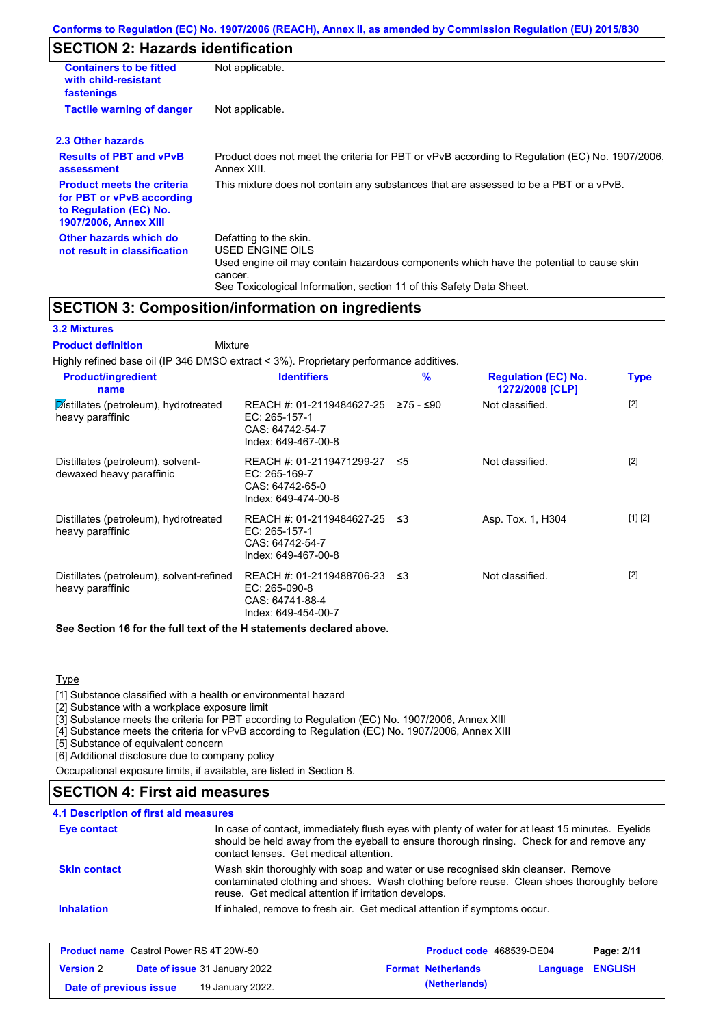# **SECTION 2: Hazards identification**

| <b>Containers to be fitted</b><br>with child-resistant<br>fastenings                                                     | Not applicable.                                                                                                                                                                                                          |
|--------------------------------------------------------------------------------------------------------------------------|--------------------------------------------------------------------------------------------------------------------------------------------------------------------------------------------------------------------------|
| <b>Tactile warning of danger</b>                                                                                         | Not applicable.                                                                                                                                                                                                          |
| 2.3 Other hazards                                                                                                        |                                                                                                                                                                                                                          |
| <b>Results of PBT and vPvB</b><br>assessment                                                                             | Product does not meet the criteria for PBT or vPvB according to Regulation (EC) No. 1907/2006,<br>Annex XIII.                                                                                                            |
| <b>Product meets the criteria</b><br>for PBT or vPvB according<br>to Regulation (EC) No.<br><b>1907/2006, Annex XIII</b> | This mixture does not contain any substances that are assessed to be a PBT or a vPvB.                                                                                                                                    |
| Other hazards which do<br>not result in classification                                                                   | Defatting to the skin.<br>USED ENGINE OILS<br>Used engine oil may contain hazardous components which have the potential to cause skin<br>cancer.<br>See Toxicological Information, section 11 of this Safety Data Sheet. |

# **SECTION 3: Composition/information on ingredients**

## **3.2 Mixtures**

Mixture **Product definition**

| Highly refined base oil (IP 346 DMSO extract < 3%). Proprietary performance additives. |                                                                                         |           |                                               |         |
|----------------------------------------------------------------------------------------|-----------------------------------------------------------------------------------------|-----------|-----------------------------------------------|---------|
| <b>Product/ingredient</b><br>name                                                      | <b>Identifiers</b>                                                                      | %         | <b>Regulation (EC) No.</b><br>1272/2008 [CLP] | Type    |
| Distillates (petroleum), hydrotreated<br>heavy paraffinic                              | REACH #: 01-2119484627-25<br>EC: 265-157-1<br>CAS: 64742-54-7<br>Index: 649-467-00-8    | ≥75 - ≤90 | Not classified.                               | $[2]$   |
| Distillates (petroleum), solvent-<br>dewaxed heavy paraffinic                          | REACH #: 01-2119471299-27 ≤5<br>EC: 265-169-7<br>CAS: 64742-65-0<br>Index: 649-474-00-6 |           | Not classified.                               | $[2]$   |
| Distillates (petroleum), hydrotreated<br>heavy paraffinic                              | REACH #: 01-2119484627-25<br>EC: 265-157-1<br>CAS: 64742-54-7<br>Index: 649-467-00-8    | -≤3       | Asp. Tox. 1, H304                             | [1] [2] |
| Distillates (petroleum), solvent-refined<br>heavy paraffinic                           | REACH #: 01-2119488706-23 ≤3<br>EC: 265-090-8<br>CAS: 64741-88-4<br>Index: 649-454-00-7 |           | Not classified.                               | $[2]$   |
|                                                                                        |                                                                                         |           |                                               |         |

**See Section 16 for the full text of the H statements declared above.**

**Type** 

[1] Substance classified with a health or environmental hazard

[2] Substance with a workplace exposure limit

[3] Substance meets the criteria for PBT according to Regulation (EC) No. 1907/2006, Annex XIII

[4] Substance meets the criteria for vPvB according to Regulation (EC) No. 1907/2006, Annex XIII

[5] Substance of equivalent concern

[6] Additional disclosure due to company policy

Occupational exposure limits, if available, are listed in Section 8.

## **SECTION 4: First aid measures**

| Eye contact         | In case of contact, immediately flush eyes with plenty of water for at least 15 minutes. Eyelids<br>should be held away from the eyeball to ensure thorough rinsing. Check for and remove any<br>contact lenses. Get medical attention. |
|---------------------|-----------------------------------------------------------------------------------------------------------------------------------------------------------------------------------------------------------------------------------------|
| <b>Skin contact</b> | Wash skin thoroughly with soap and water or use recognised skin cleanser. Remove<br>contaminated clothing and shoes. Wash clothing before reuse. Clean shoes thoroughly before<br>reuse. Get medical attention if irritation develops.  |
| <b>Inhalation</b>   | If inhaled, remove to fresh air. Get medical attention if symptoms occur.                                                                                                                                                               |

| <b>Product name</b> Castrol Power RS 4T 20W-50 |  |                                      | <b>Product code</b> 468539-DE04 | Page: 2/11                |                         |  |
|------------------------------------------------|--|--------------------------------------|---------------------------------|---------------------------|-------------------------|--|
| <b>Version 2</b>                               |  | <b>Date of issue 31 January 2022</b> |                                 | <b>Format Netherlands</b> | <b>Language ENGLISH</b> |  |
| Date of previous issue                         |  | 19 January 2022.                     |                                 | (Netherlands)             |                         |  |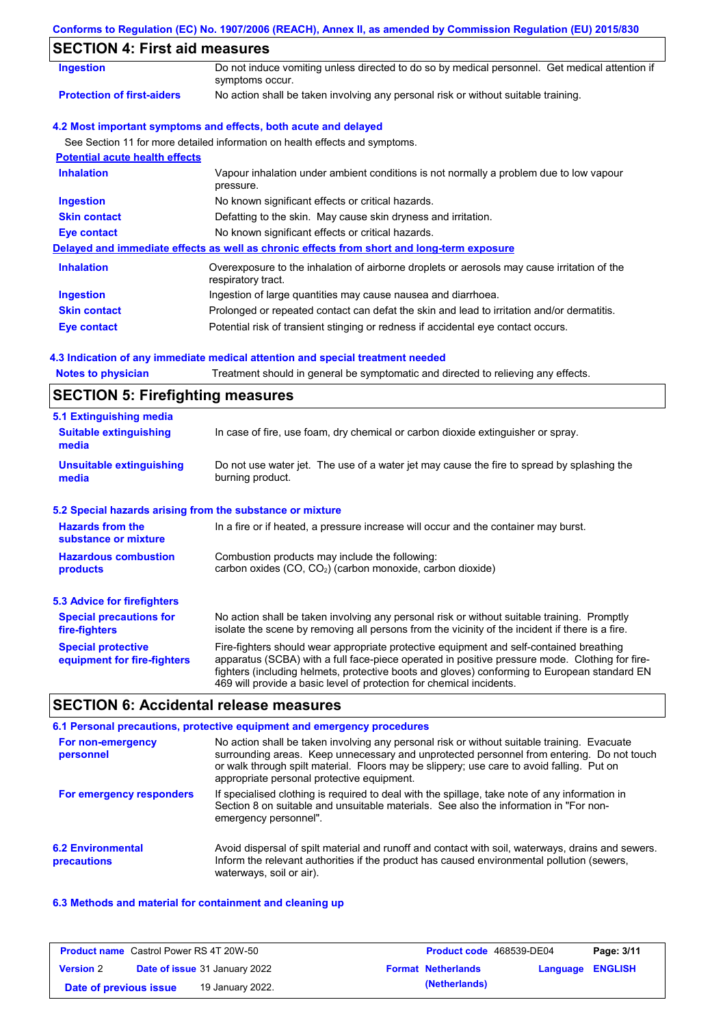| Conforms to Regulation (EC) No. 1907/2006 (REACH), Annex II, as amended by Commission Regulation (EU) 2015/830 |  |  |  |  |
|----------------------------------------------------------------------------------------------------------------|--|--|--|--|
|----------------------------------------------------------------------------------------------------------------|--|--|--|--|

# **SECTION 4: First aid measures**

| <b>OLUTUR 4. FIISLAIU IIIEASULES</b>  |                                                                                                                   |
|---------------------------------------|-------------------------------------------------------------------------------------------------------------------|
| <b>Ingestion</b>                      | Do not induce vomiting unless directed to do so by medical personnel. Get medical attention if<br>symptoms occur. |
| <b>Protection of first-aiders</b>     | No action shall be taken involving any personal risk or without suitable training.                                |
|                                       | 4.2 Most important symptoms and effects, both acute and delayed                                                   |
|                                       | See Section 11 for more detailed information on health effects and symptoms.                                      |
| <b>Potential acute health effects</b> |                                                                                                                   |
| <b>Inhalation</b>                     | Vapour inhalation under ambient conditions is not normally a problem due to low vapour<br>pressure.               |
| <b>Ingestion</b>                      | No known significant effects or critical hazards.                                                                 |
| <b>Skin contact</b>                   | Defatting to the skin. May cause skin dryness and irritation.                                                     |
| Eye contact                           | No known significant effects or critical hazards.                                                                 |
|                                       | Delayed and immediate effects as well as chronic effects from short and long-term exposure                        |
| <b>Inhalation</b>                     | Overexposure to the inhalation of airborne droplets or aerosols may cause irritation of the<br>respiratory tract. |
| <b>Ingestion</b>                      | Ingestion of large quantities may cause nausea and diarrhoea.                                                     |
| <b>Skin contact</b>                   | Prolonged or repeated contact can defat the skin and lead to irritation and/or dermatitis.                        |
| Eye contact                           | Potential risk of transient stinging or redness if accidental eye contact occurs.                                 |

## **4.3 Indication of any immediate medical attention and special treatment needed**

| <b>Notes to physician</b> | Treatment should in general be symptomatic and directed to relieving any effects. |  |
|---------------------------|-----------------------------------------------------------------------------------|--|
|---------------------------|-----------------------------------------------------------------------------------|--|

## **SECTION 5: Firefighting measures**

| 5.1 Extinguishing media                                   |                                                                                                                                                                                                                                                                                                                                                                   |
|-----------------------------------------------------------|-------------------------------------------------------------------------------------------------------------------------------------------------------------------------------------------------------------------------------------------------------------------------------------------------------------------------------------------------------------------|
| <b>Suitable extinguishing</b><br>media                    | In case of fire, use foam, dry chemical or carbon dioxide extinguisher or spray.                                                                                                                                                                                                                                                                                  |
| <b>Unsuitable extinguishing</b><br>media                  | Do not use water jet. The use of a water jet may cause the fire to spread by splashing the<br>burning product.                                                                                                                                                                                                                                                    |
| 5.2 Special hazards arising from the substance or mixture |                                                                                                                                                                                                                                                                                                                                                                   |
| <b>Hazards from the</b><br>substance or mixture           | In a fire or if heated, a pressure increase will occur and the container may burst.                                                                                                                                                                                                                                                                               |
| <b>Hazardous combustion</b><br>products                   | Combustion products may include the following:<br>carbon oxides (CO, CO <sub>2</sub> ) (carbon monoxide, carbon dioxide)                                                                                                                                                                                                                                          |
| <b>5.3 Advice for firefighters</b>                        |                                                                                                                                                                                                                                                                                                                                                                   |
| <b>Special precautions for</b><br>fire-fighters           | No action shall be taken involving any personal risk or without suitable training. Promptly<br>isolate the scene by removing all persons from the vicinity of the incident if there is a fire.                                                                                                                                                                    |
| <b>Special protective</b><br>equipment for fire-fighters  | Fire-fighters should wear appropriate protective equipment and self-contained breathing<br>apparatus (SCBA) with a full face-piece operated in positive pressure mode. Clothing for fire-<br>fighters (including helmets, protective boots and gloves) conforming to European standard EN<br>469 will provide a basic level of protection for chemical incidents. |

## **SECTION 6: Accidental release measures**

#### **6.2 Environmental precautions** Avoid dispersal of spilt material and runoff and contact with soil, waterways, drains and sewers. Inform the relevant authorities if the product has caused environmental pollution (sewers, waterways, soil or air). **6.1 Personal precautions, protective equipment and emergency procedures For non-emergency personnel For emergency responders** No action shall be taken involving any personal risk or without suitable training. Evacuate surrounding areas. Keep unnecessary and unprotected personnel from entering. Do not touch or walk through spilt material. Floors may be slippery; use care to avoid falling. Put on appropriate personal protective equipment. If specialised clothing is required to deal with the spillage, take note of any information in Section 8 on suitable and unsuitable materials. See also the information in "For nonemergency personnel".

## **6.3 Methods and material for containment and cleaning up**

| <b>Product name</b> Castrol Power RS 4T 20W-50 |  |                                      | Product code 468539-DE04 | Page: 3/11                |                  |  |
|------------------------------------------------|--|--------------------------------------|--------------------------|---------------------------|------------------|--|
| <b>Version 2</b>                               |  | <b>Date of issue 31 January 2022</b> |                          | <b>Format Netherlands</b> | Language ENGLISH |  |
| Date of previous issue                         |  | 19 January 2022.                     |                          | (Netherlands)             |                  |  |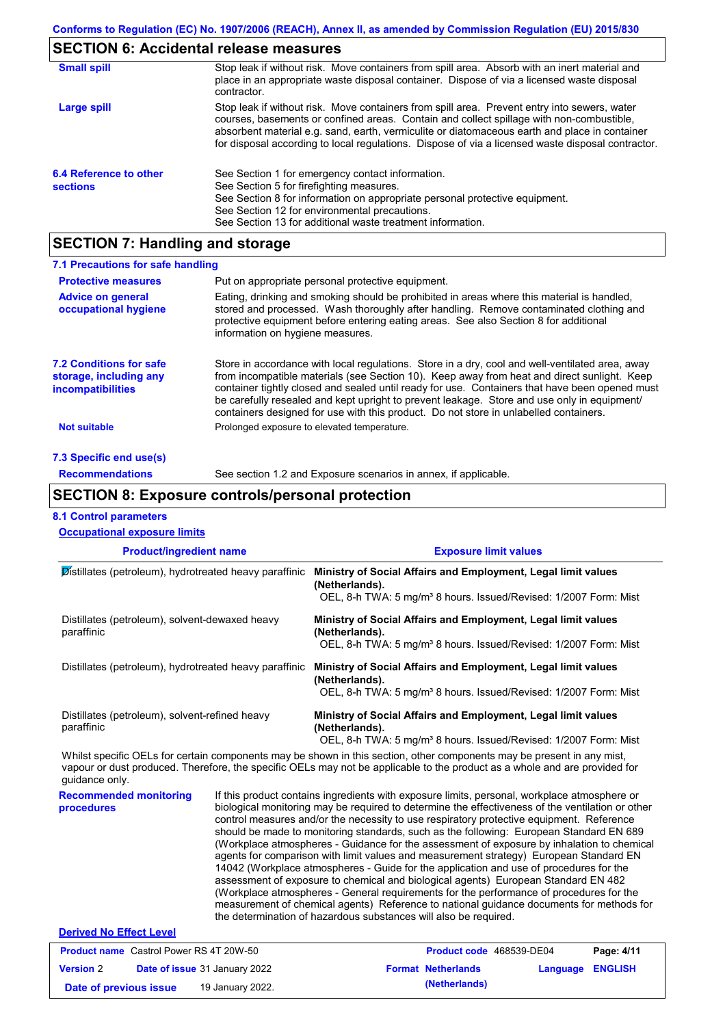# **SECTION 6: Accidental release measures**

| <b>Small spill</b>                        | Stop leak if without risk. Move containers from spill area. Absorb with an inert material and<br>place in an appropriate waste disposal container. Dispose of via a licensed waste disposal<br>contractor.                                                                                                                                                                                     |
|-------------------------------------------|------------------------------------------------------------------------------------------------------------------------------------------------------------------------------------------------------------------------------------------------------------------------------------------------------------------------------------------------------------------------------------------------|
| Large spill                               | Stop leak if without risk. Move containers from spill area. Prevent entry into sewers, water<br>courses, basements or confined areas. Contain and collect spillage with non-combustible,<br>absorbent material e.g. sand, earth, vermiculite or diatomaceous earth and place in container<br>for disposal according to local regulations. Dispose of via a licensed waste disposal contractor. |
| 6.4 Reference to other<br><b>sections</b> | See Section 1 for emergency contact information.<br>See Section 5 for firefighting measures.<br>See Section 8 for information on appropriate personal protective equipment.<br>See Section 12 for environmental precautions.<br>See Section 13 for additional waste treatment information.                                                                                                     |

## **SECTION 7: Handling and storage**

| 7.1 Precautions for safe handling                                                    |                                                                                                                                                                                                                                                                                                                                                                                                                                                                                          |
|--------------------------------------------------------------------------------------|------------------------------------------------------------------------------------------------------------------------------------------------------------------------------------------------------------------------------------------------------------------------------------------------------------------------------------------------------------------------------------------------------------------------------------------------------------------------------------------|
| <b>Protective measures</b>                                                           | Put on appropriate personal protective equipment.                                                                                                                                                                                                                                                                                                                                                                                                                                        |
| <b>Advice on general</b><br>occupational hygiene                                     | Eating, drinking and smoking should be prohibited in areas where this material is handled,<br>stored and processed. Wash thoroughly after handling. Remove contaminated clothing and<br>protective equipment before entering eating areas. See also Section 8 for additional<br>information on hygiene measures.                                                                                                                                                                         |
| <b>7.2 Conditions for safe</b><br>storage, including any<br><b>incompatibilities</b> | Store in accordance with local regulations. Store in a dry, cool and well-ventilated area, away<br>from incompatible materials (see Section 10). Keep away from heat and direct sunlight. Keep<br>container tightly closed and sealed until ready for use. Containers that have been opened must<br>be carefully resealed and kept upright to prevent leakage. Store and use only in equipment/<br>containers designed for use with this product. Do not store in unlabelled containers. |
| Not suitable                                                                         | Prolonged exposure to elevated temperature.                                                                                                                                                                                                                                                                                                                                                                                                                                              |
| 7.3 Specific end use(s)                                                              |                                                                                                                                                                                                                                                                                                                                                                                                                                                                                          |
| <b>Recommendations</b>                                                               | See section 1.2 and Exposure scenarios in annex, if applicable.                                                                                                                                                                                                                                                                                                                                                                                                                          |

## **SECTION 8: Exposure controls/personal protection**

## **8.1 Control parameters**

| <b>Occupational exposure limits</b>                          |                                                                                                                                                                                                                                                      |
|--------------------------------------------------------------|------------------------------------------------------------------------------------------------------------------------------------------------------------------------------------------------------------------------------------------------------|
| <b>Product/ingredient name</b>                               | <b>Exposure limit values</b>                                                                                                                                                                                                                         |
| Distillates (petroleum), hydrotreated heavy paraffinic       | Ministry of Social Affairs and Employment, Legal limit values<br>(Netherlands).<br>OEL, 8-h TWA: 5 mg/m <sup>3</sup> 8 hours. Issued/Revised: 1/2007 Form: Mist                                                                                      |
| Distillates (petroleum), solvent-dewaxed heavy<br>paraffinic | Ministry of Social Affairs and Employment, Legal limit values<br>(Netherlands).<br>OEL, 8-h TWA: 5 mg/m <sup>3</sup> 8 hours. Issued/Revised: 1/2007 Form: Mist                                                                                      |
| Distillates (petroleum), hydrotreated heavy paraffinic       | Ministry of Social Affairs and Employment, Legal limit values<br>(Netherlands).<br>OEL, 8-h TWA: 5 mg/m <sup>3</sup> 8 hours. Issued/Revised: 1/2007 Form: Mist                                                                                      |
| Distillates (petroleum), solvent-refined heavy<br>paraffinic | Ministry of Social Affairs and Employment, Legal limit values<br>(Netherlands).<br>OEL, 8-h TWA: 5 mg/m <sup>3</sup> 8 hours. Issued/Revised: 1/2007 Form: Mist                                                                                      |
| guidance only.                                               | Whilst specific OELs for certain components may be shown in this section, other components may be present in any mist,<br>vapour or dust produced. Therefore, the specific OELs may not be applicable to the product as a whole and are provided for |
| <b>Recommended monitoring</b><br>procedures                  | If this product contains ingredients with exposure limits, personal, workplace atmosphere or<br>biological monitoring may be required to determine the effectiveness of the ventilation or other                                                     |

biological monitoring may be required to determine the effectiveness of the ventilation or other control measures and/or the necessity to use respiratory protective equipment. Reference should be made to monitoring standards, such as the following: European Standard EN 689 (Workplace atmospheres - Guidance for the assessment of exposure by inhalation to chemical agents for comparison with limit values and measurement strategy) European Standard EN 14042 (Workplace atmospheres - Guide for the application and use of procedures for the assessment of exposure to chemical and biological agents) European Standard EN 482 (Workplace atmospheres - General requirements for the performance of procedures for the measurement of chemical agents) Reference to national guidance documents for methods for the determination of hazardous substances will also be required.

## **Derived No Effect Level**

| <b>Product name</b> Castrol Power RS 4T 20W-50 |                                      | <b>Product code</b> 468539-DE04 |                           | Page: 4/11              |  |
|------------------------------------------------|--------------------------------------|---------------------------------|---------------------------|-------------------------|--|
| <b>Version 2</b>                               | <b>Date of issue 31 January 2022</b> |                                 | <b>Format Netherlands</b> | <b>Language ENGLISH</b> |  |
| Date of previous issue                         | 19 January 2022.                     |                                 | (Netherlands)             |                         |  |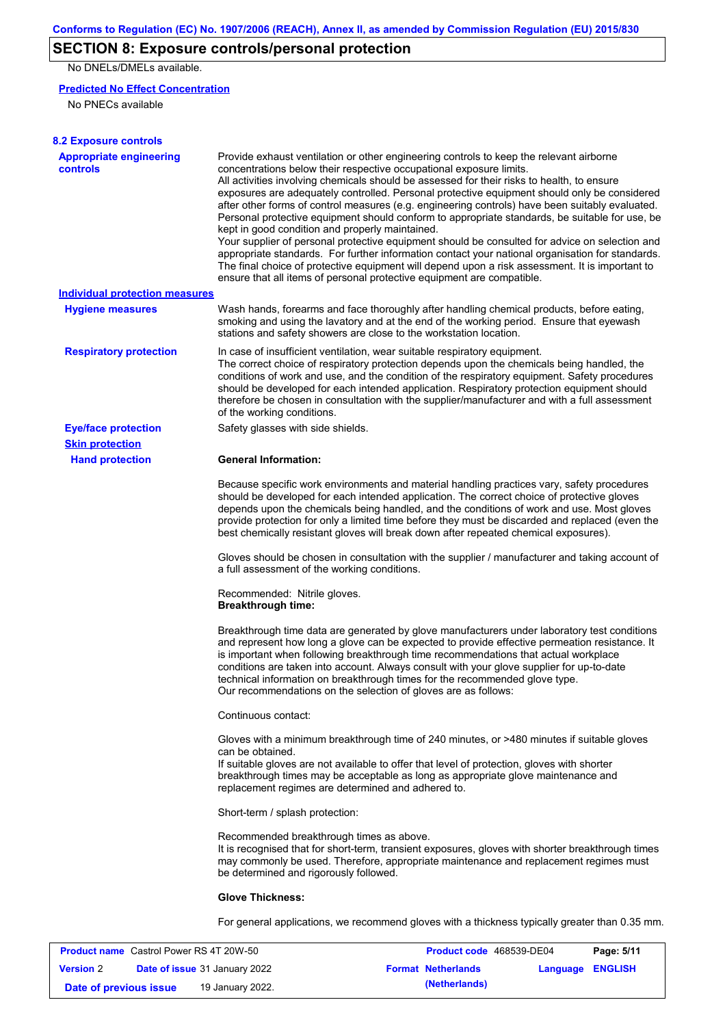# **SECTION 8: Exposure controls/personal protection**

No DNELs/DMELs available.

## **Predicted No Effect Concentration**

No PNECs available

| <b>8.2 Exposure controls</b>               |                                                                                                                                                                                                                                                                                                                                                                                                                                                                                                                                                                                                                                                                                                                                                                                                                                                                                                                                                                                                         |
|--------------------------------------------|---------------------------------------------------------------------------------------------------------------------------------------------------------------------------------------------------------------------------------------------------------------------------------------------------------------------------------------------------------------------------------------------------------------------------------------------------------------------------------------------------------------------------------------------------------------------------------------------------------------------------------------------------------------------------------------------------------------------------------------------------------------------------------------------------------------------------------------------------------------------------------------------------------------------------------------------------------------------------------------------------------|
| <b>Appropriate engineering</b><br>controls | Provide exhaust ventilation or other engineering controls to keep the relevant airborne<br>concentrations below their respective occupational exposure limits.<br>All activities involving chemicals should be assessed for their risks to health, to ensure<br>exposures are adequately controlled. Personal protective equipment should only be considered<br>after other forms of control measures (e.g. engineering controls) have been suitably evaluated.<br>Personal protective equipment should conform to appropriate standards, be suitable for use, be<br>kept in good condition and properly maintained.<br>Your supplier of personal protective equipment should be consulted for advice on selection and<br>appropriate standards. For further information contact your national organisation for standards.<br>The final choice of protective equipment will depend upon a risk assessment. It is important to<br>ensure that all items of personal protective equipment are compatible. |
| Individual protection measures             |                                                                                                                                                                                                                                                                                                                                                                                                                                                                                                                                                                                                                                                                                                                                                                                                                                                                                                                                                                                                         |
| <b>Hygiene measures</b>                    | Wash hands, forearms and face thoroughly after handling chemical products, before eating,<br>smoking and using the lavatory and at the end of the working period. Ensure that eyewash<br>stations and safety showers are close to the workstation location.                                                                                                                                                                                                                                                                                                                                                                                                                                                                                                                                                                                                                                                                                                                                             |
| <b>Respiratory protection</b>              | In case of insufficient ventilation, wear suitable respiratory equipment.<br>The correct choice of respiratory protection depends upon the chemicals being handled, the<br>conditions of work and use, and the condition of the respiratory equipment. Safety procedures<br>should be developed for each intended application. Respiratory protection equipment should<br>therefore be chosen in consultation with the supplier/manufacturer and with a full assessment<br>of the working conditions.                                                                                                                                                                                                                                                                                                                                                                                                                                                                                                   |
| <b>Eye/face protection</b>                 | Safety glasses with side shields.                                                                                                                                                                                                                                                                                                                                                                                                                                                                                                                                                                                                                                                                                                                                                                                                                                                                                                                                                                       |
| <b>Skin protection</b>                     |                                                                                                                                                                                                                                                                                                                                                                                                                                                                                                                                                                                                                                                                                                                                                                                                                                                                                                                                                                                                         |
| <b>Hand protection</b>                     | <b>General Information:</b>                                                                                                                                                                                                                                                                                                                                                                                                                                                                                                                                                                                                                                                                                                                                                                                                                                                                                                                                                                             |
|                                            | Because specific work environments and material handling practices vary, safety procedures<br>should be developed for each intended application. The correct choice of protective gloves<br>depends upon the chemicals being handled, and the conditions of work and use. Most gloves<br>provide protection for only a limited time before they must be discarded and replaced (even the<br>best chemically resistant gloves will break down after repeated chemical exposures).                                                                                                                                                                                                                                                                                                                                                                                                                                                                                                                        |
|                                            | Gloves should be chosen in consultation with the supplier / manufacturer and taking account of<br>a full assessment of the working conditions.                                                                                                                                                                                                                                                                                                                                                                                                                                                                                                                                                                                                                                                                                                                                                                                                                                                          |
|                                            | Recommended: Nitrile gloves.<br><b>Breakthrough time:</b>                                                                                                                                                                                                                                                                                                                                                                                                                                                                                                                                                                                                                                                                                                                                                                                                                                                                                                                                               |
|                                            | Breakthrough time data are generated by glove manufacturers under laboratory test conditions<br>and represent how long a glove can be expected to provide effective permeation resistance. It<br>is important when following breakthrough time recommendations that actual workplace<br>conditions are taken into account. Always consult with your glove supplier for up-to-date<br>technical information on breakthrough times for the recommended glove type.<br>Our recommendations on the selection of gloves are as follows:                                                                                                                                                                                                                                                                                                                                                                                                                                                                      |
|                                            | Continuous contact:                                                                                                                                                                                                                                                                                                                                                                                                                                                                                                                                                                                                                                                                                                                                                                                                                                                                                                                                                                                     |
|                                            | Gloves with a minimum breakthrough time of 240 minutes, or >480 minutes if suitable gloves<br>can be obtained.<br>If suitable gloves are not available to offer that level of protection, gloves with shorter<br>breakthrough times may be acceptable as long as appropriate glove maintenance and<br>replacement regimes are determined and adhered to.                                                                                                                                                                                                                                                                                                                                                                                                                                                                                                                                                                                                                                                |
|                                            | Short-term / splash protection:                                                                                                                                                                                                                                                                                                                                                                                                                                                                                                                                                                                                                                                                                                                                                                                                                                                                                                                                                                         |
|                                            | Recommended breakthrough times as above.<br>It is recognised that for short-term, transient exposures, gloves with shorter breakthrough times<br>may commonly be used. Therefore, appropriate maintenance and replacement regimes must<br>be determined and rigorously followed.                                                                                                                                                                                                                                                                                                                                                                                                                                                                                                                                                                                                                                                                                                                        |
|                                            | <b>Glove Thickness:</b>                                                                                                                                                                                                                                                                                                                                                                                                                                                                                                                                                                                                                                                                                                                                                                                                                                                                                                                                                                                 |
|                                            | For general applications, we recommend gloves with a thickness typically greater than 0.35 mm.                                                                                                                                                                                                                                                                                                                                                                                                                                                                                                                                                                                                                                                                                                                                                                                                                                                                                                          |

| <b>Product name</b> Castrol Power RS 4T 20W-50 |  | <b>Product code</b> 468539-DE04      |  | Page: 5/11                |                  |  |
|------------------------------------------------|--|--------------------------------------|--|---------------------------|------------------|--|
| <b>Version 2</b>                               |  | <b>Date of issue</b> 31 January 2022 |  | <b>Format Netherlands</b> | Language ENGLISH |  |
| Date of previous issue                         |  | 19 January 2022.                     |  | (Netherlands)             |                  |  |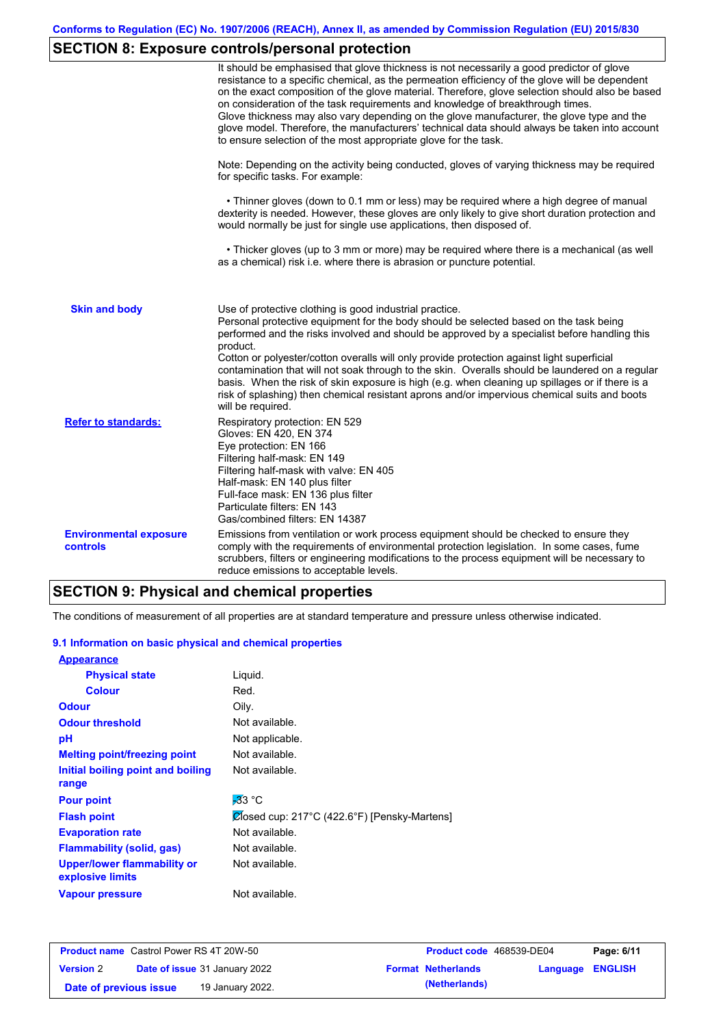# **SECTION 8: Exposure controls/personal protection**

|                                           | It should be emphasised that glove thickness is not necessarily a good predictor of glove<br>resistance to a specific chemical, as the permeation efficiency of the glove will be dependent<br>on the exact composition of the glove material. Therefore, glove selection should also be based<br>on consideration of the task requirements and knowledge of breakthrough times.<br>Glove thickness may also vary depending on the glove manufacturer, the glove type and the<br>glove model. Therefore, the manufacturers' technical data should always be taken into account<br>to ensure selection of the most appropriate glove for the task.                                     |  |  |  |  |  |
|-------------------------------------------|---------------------------------------------------------------------------------------------------------------------------------------------------------------------------------------------------------------------------------------------------------------------------------------------------------------------------------------------------------------------------------------------------------------------------------------------------------------------------------------------------------------------------------------------------------------------------------------------------------------------------------------------------------------------------------------|--|--|--|--|--|
|                                           | Note: Depending on the activity being conducted, gloves of varying thickness may be required<br>for specific tasks. For example:                                                                                                                                                                                                                                                                                                                                                                                                                                                                                                                                                      |  |  |  |  |  |
|                                           | • Thinner gloves (down to 0.1 mm or less) may be required where a high degree of manual<br>dexterity is needed. However, these gloves are only likely to give short duration protection and<br>would normally be just for single use applications, then disposed of.                                                                                                                                                                                                                                                                                                                                                                                                                  |  |  |  |  |  |
|                                           | • Thicker gloves (up to 3 mm or more) may be required where there is a mechanical (as well<br>as a chemical) risk i.e. where there is abrasion or puncture potential.                                                                                                                                                                                                                                                                                                                                                                                                                                                                                                                 |  |  |  |  |  |
| <b>Skin and body</b>                      | Use of protective clothing is good industrial practice.<br>Personal protective equipment for the body should be selected based on the task being<br>performed and the risks involved and should be approved by a specialist before handling this<br>product.<br>Cotton or polyester/cotton overalls will only provide protection against light superficial<br>contamination that will not soak through to the skin. Overalls should be laundered on a regular<br>basis. When the risk of skin exposure is high (e.g. when cleaning up spillages or if there is a<br>risk of splashing) then chemical resistant aprons and/or impervious chemical suits and boots<br>will be required. |  |  |  |  |  |
| <b>Refer to standards:</b>                | Respiratory protection: EN 529<br>Gloves: EN 420, EN 374<br>Eye protection: EN 166<br>Filtering half-mask: EN 149<br>Filtering half-mask with valve: EN 405<br>Half-mask: EN 140 plus filter<br>Full-face mask: EN 136 plus filter<br>Particulate filters: EN 143<br>Gas/combined filters: EN 14387                                                                                                                                                                                                                                                                                                                                                                                   |  |  |  |  |  |
| <b>Environmental exposure</b><br>controls | Emissions from ventilation or work process equipment should be checked to ensure they<br>comply with the requirements of environmental protection legislation. In some cases, fume<br>scrubbers, filters or engineering modifications to the process equipment will be necessary to<br>reduce emissions to acceptable levels.                                                                                                                                                                                                                                                                                                                                                         |  |  |  |  |  |

# **SECTION 9: Physical and chemical properties**

The conditions of measurement of all properties are at standard temperature and pressure unless otherwise indicated.

## **9.1 Information on basic physical and chemical properties**

| <b>Appearance</b>                               |                                              |
|-------------------------------------------------|----------------------------------------------|
| <b>Physical state</b>                           | Liquid.                                      |
| <b>Colour</b>                                   | Red.                                         |
| <b>Odour</b>                                    | Oily.                                        |
| <b>Odour threshold</b>                          | Not available.                               |
| рH                                              | Not applicable.                              |
| <b>Melting point/freezing point</b>             | Not available.                               |
| Initial boiling point and boiling<br>range      | Not available.                               |
| <b>Pour point</b>                               | $-33$ °C                                     |
| <b>Flash point</b>                              | Closed cup: 217°C (422.6°F) [Pensky-Martens] |
| <b>Evaporation rate</b>                         | Not available.                               |
| Flammability (solid, gas)                       | Not available.                               |
| Upper/lower flammability or<br>explosive limits | Not available.                               |
| Vapour pressure                                 | Not available.                               |

| <b>Product name</b> Castrol Power RS 4T 20W-50 |  | <b>Product code</b> 468539-DE04      |  | Page: 6/11                |                         |  |
|------------------------------------------------|--|--------------------------------------|--|---------------------------|-------------------------|--|
| <b>Version 2</b>                               |  | <b>Date of issue 31 January 2022</b> |  | <b>Format Netherlands</b> | <b>Language ENGLISH</b> |  |
| Date of previous issue                         |  | 19 January 2022.                     |  | (Netherlands)             |                         |  |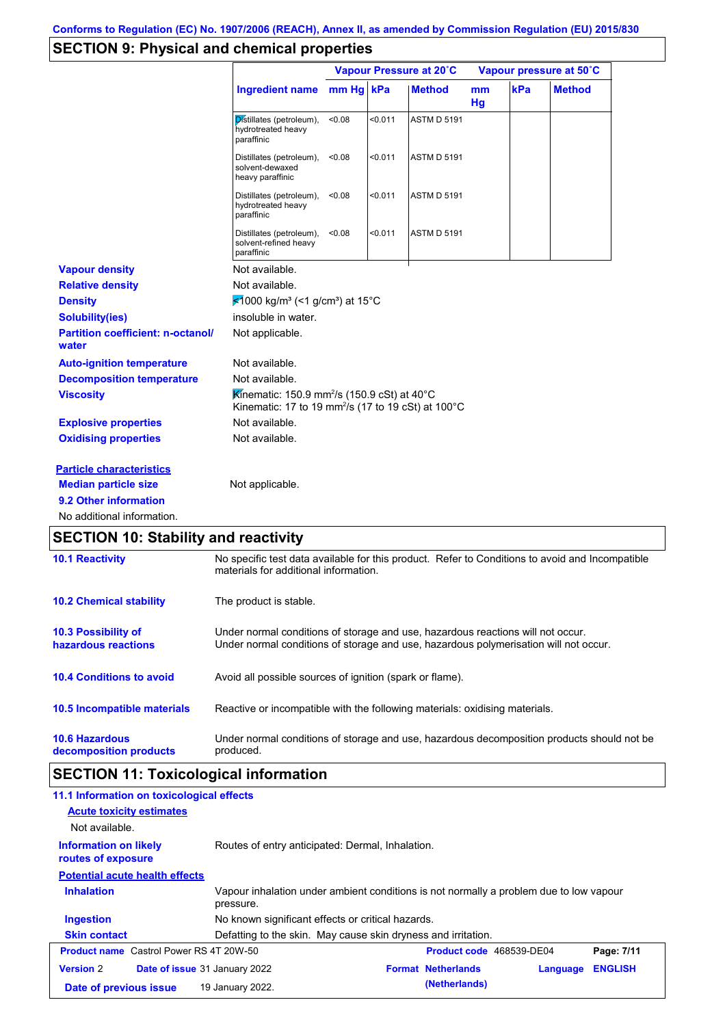# **SECTION 9: Physical and chemical properties**

|                                                   |                                                                                                                                          | Vapour Pressure at 20°C |         |                    |          | Vapour pressure at 50°C |               |
|---------------------------------------------------|------------------------------------------------------------------------------------------------------------------------------------------|-------------------------|---------|--------------------|----------|-------------------------|---------------|
|                                                   | <b>Ingredient name</b>                                                                                                                   | $mm Hg$ kPa             |         | <b>Method</b>      | mm<br>Hg | kPa                     | <b>Method</b> |
|                                                   | Distillates (petroleum),<br>hydrotreated heavy<br>paraffinic                                                                             | < 0.08                  | < 0.011 | <b>ASTM D 5191</b> |          |                         |               |
|                                                   | Distillates (petroleum),<br>solvent-dewaxed<br>heavy paraffinic                                                                          | < 0.08                  | < 0.011 | <b>ASTM D 5191</b> |          |                         |               |
|                                                   | Distillates (petroleum),<br>hydrotreated heavy<br>paraffinic                                                                             | < 0.08                  | < 0.011 | <b>ASTM D 5191</b> |          |                         |               |
|                                                   | Distillates (petroleum),<br>solvent-refined heavy<br>paraffinic                                                                          | < 0.08                  | < 0.011 | <b>ASTM D 5191</b> |          |                         |               |
| <b>Vapour density</b>                             | Not available.                                                                                                                           |                         |         |                    |          |                         |               |
| <b>Relative density</b>                           | Not available.                                                                                                                           |                         |         |                    |          |                         |               |
| <b>Density</b>                                    | ₹1000 kg/m <sup>3</sup> (<1 g/cm <sup>3</sup> ) at 15°C                                                                                  |                         |         |                    |          |                         |               |
| <b>Solubility(ies)</b>                            | insoluble in water.                                                                                                                      |                         |         |                    |          |                         |               |
| <b>Partition coefficient: n-octanol/</b><br>water | Not applicable.                                                                                                                          |                         |         |                    |          |                         |               |
| <b>Auto-ignition temperature</b>                  | Not available.                                                                                                                           |                         |         |                    |          |                         |               |
| <b>Decomposition temperature</b>                  | Not available.                                                                                                                           |                         |         |                    |          |                         |               |
| <b>Viscosity</b>                                  | Kinematic: 150.9 mm <sup>2</sup> /s (150.9 cSt) at 40°C<br>Kinematic: 17 to 19 mm <sup>2</sup> /s (17 to 19 cSt) at 100°C                |                         |         |                    |          |                         |               |
| <b>Explosive properties</b>                       | Not available.                                                                                                                           |                         |         |                    |          |                         |               |
| <b>Oxidising properties</b>                       | Not available.                                                                                                                           |                         |         |                    |          |                         |               |
| <b>Particle characteristics</b>                   |                                                                                                                                          |                         |         |                    |          |                         |               |
| <b>Median particle size</b>                       | Not applicable.                                                                                                                          |                         |         |                    |          |                         |               |
| 9.2 Other information                             |                                                                                                                                          |                         |         |                    |          |                         |               |
| No additional information.                        |                                                                                                                                          |                         |         |                    |          |                         |               |
| <b>SECTION 10: Stability and reactivity</b>       |                                                                                                                                          |                         |         |                    |          |                         |               |
| <b>10.1 Reactivity</b>                            | No specific test data available for this product. Refer to Conditions to avoid and Incompatible<br>materials for additional information. |                         |         |                    |          |                         |               |
| <b>10.2 Chemical stability</b>                    | The product is stable.                                                                                                                   |                         |         |                    |          |                         |               |
|                                                   |                                                                                                                                          |                         |         |                    |          |                         |               |

**10.3 Possibility of hazardous reactions** Under normal conditions of storage and use, hazardous reactions will not occur. Under normal conditions of storage and use, hazardous polymerisation will not occur.

**10.4 Conditions to avoid** Avoid all possible sources of ignition (spark or flame).

**10.5 Incompatible materials** Reactive or incompatible with the following materials: oxidising materials.

| <b>10.6 Hazardous</b>  | Under normal conditions of storage and use, hazardous decomposition products should not be |
|------------------------|--------------------------------------------------------------------------------------------|
| decomposition products | produced.                                                                                  |

# **SECTION 11: Toxicological information**

| 11.1 Information on toxicological effects                |                                                                                                     |                           |          |                |
|----------------------------------------------------------|-----------------------------------------------------------------------------------------------------|---------------------------|----------|----------------|
| <b>Acute toxicity estimates</b>                          |                                                                                                     |                           |          |                |
| Not available.                                           |                                                                                                     |                           |          |                |
| <b>Information on likely</b><br>routes of exposure       | Routes of entry anticipated: Dermal, Inhalation.                                                    |                           |          |                |
| <b>Potential acute health effects</b>                    |                                                                                                     |                           |          |                |
| <b>Inhalation</b>                                        | Vapour inhalation under ambient conditions is not normally a problem due to low vapour<br>pressure. |                           |          |                |
| <b>Ingestion</b>                                         | No known significant effects or critical hazards.                                                   |                           |          |                |
| <b>Skin contact</b>                                      | Defatting to the skin. May cause skin dryness and irritation.                                       |                           |          |                |
| <b>Product name</b> Castrol Power RS 4T 20W-50           |                                                                                                     | Product code 468539-DE04  |          | Page: 7/11     |
| <b>Version 2</b><br><b>Date of issue</b> 31 January 2022 |                                                                                                     | <b>Format Netherlands</b> | Language | <b>ENGLISH</b> |
| Date of previous issue                                   | 19 January 2022.                                                                                    | (Netherlands)             |          |                |
|                                                          |                                                                                                     |                           |          |                |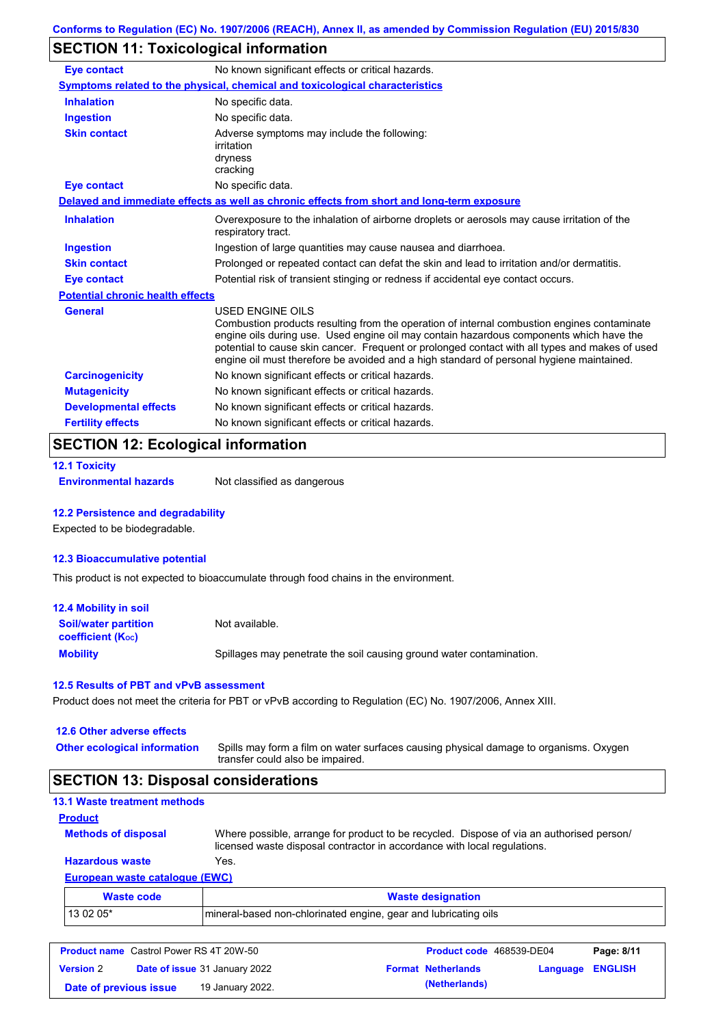# **SECTION 11: Toxicological information**

| <b>Eye contact</b>                                                                                      | No known significant effects or critical hazards.                                                                                                                                                                                                                                                                                                                                                               |
|---------------------------------------------------------------------------------------------------------|-----------------------------------------------------------------------------------------------------------------------------------------------------------------------------------------------------------------------------------------------------------------------------------------------------------------------------------------------------------------------------------------------------------------|
|                                                                                                         | Symptoms related to the physical, chemical and toxicological characteristics                                                                                                                                                                                                                                                                                                                                    |
| <b>Inhalation</b><br>No specific data.                                                                  |                                                                                                                                                                                                                                                                                                                                                                                                                 |
| No specific data.<br><b>Ingestion</b>                                                                   |                                                                                                                                                                                                                                                                                                                                                                                                                 |
| <b>Skin contact</b><br>Adverse symptoms may include the following:<br>irritation<br>dryness<br>cracking |                                                                                                                                                                                                                                                                                                                                                                                                                 |
| <b>Eye contact</b>                                                                                      | No specific data.                                                                                                                                                                                                                                                                                                                                                                                               |
|                                                                                                         | Delayed and immediate effects as well as chronic effects from short and long-term exposure                                                                                                                                                                                                                                                                                                                      |
| <b>Inhalation</b>                                                                                       | Overexposure to the inhalation of airborne droplets or aerosols may cause irritation of the<br>respiratory tract.                                                                                                                                                                                                                                                                                               |
| <b>Ingestion</b>                                                                                        | Ingestion of large quantities may cause nausea and diarrhoea.                                                                                                                                                                                                                                                                                                                                                   |
| <b>Skin contact</b>                                                                                     | Prolonged or repeated contact can defat the skin and lead to irritation and/or dermatitis.                                                                                                                                                                                                                                                                                                                      |
| <b>Eye contact</b>                                                                                      | Potential risk of transient stinging or redness if accidental eye contact occurs.                                                                                                                                                                                                                                                                                                                               |
| <b>Potential chronic health effects</b>                                                                 |                                                                                                                                                                                                                                                                                                                                                                                                                 |
| General                                                                                                 | <b>USED ENGINE OILS</b><br>Combustion products resulting from the operation of internal combustion engines contaminate<br>engine oils during use. Used engine oil may contain hazardous components which have the<br>potential to cause skin cancer. Frequent or prolonged contact with all types and makes of used<br>engine oil must therefore be avoided and a high standard of personal hygiene maintained. |
| <b>Carcinogenicity</b>                                                                                  | No known significant effects or critical hazards.                                                                                                                                                                                                                                                                                                                                                               |
| <b>Mutagenicity</b>                                                                                     | No known significant effects or critical hazards.                                                                                                                                                                                                                                                                                                                                                               |
| <b>Developmental effects</b>                                                                            | No known significant effects or critical hazards.                                                                                                                                                                                                                                                                                                                                                               |
| <b>Fertility effects</b>                                                                                | No known significant effects or critical hazards.                                                                                                                                                                                                                                                                                                                                                               |

## **SECTION 12: Ecological information**

**12.1 Toxicity**

**Environmental hazards** Not classified as dangerous

#### **12.2 Persistence and degradability**

Expected to be biodegradable.

### **12.3 Bioaccumulative potential**

This product is not expected to bioaccumulate through food chains in the environment.

| <b>12.4 Mobility in soil</b>                            |                                                                      |
|---------------------------------------------------------|----------------------------------------------------------------------|
| <b>Soil/water partition</b><br><b>coefficient (Koc)</b> | Not available.                                                       |
| <b>Mobility</b>                                         | Spillages may penetrate the soil causing ground water contamination. |

## **12.5 Results of PBT and vPvB assessment**

Product does not meet the criteria for PBT or vPvB according to Regulation (EC) No. 1907/2006, Annex XIII.

## **12.6 Other adverse effects Other ecological information**

Spills may form a film on water surfaces causing physical damage to organisms. Oxygen transfer could also be impaired.

## **SECTION 13: Disposal considerations**

| <b>13.1 Waste treatment methods</b>   |                                                                                                                                                                      |
|---------------------------------------|----------------------------------------------------------------------------------------------------------------------------------------------------------------------|
| <b>Product</b>                        |                                                                                                                                                                      |
| <b>Methods of disposal</b>            | Where possible, arrange for product to be recycled. Dispose of via an authorised person/<br>licensed waste disposal contractor in accordance with local regulations. |
| <b>Hazardous waste</b>                | Yes.                                                                                                                                                                 |
| <b>European waste catalogue (EWC)</b> |                                                                                                                                                                      |
| <b>Waste code</b>                     | <b>Waste designation</b>                                                                                                                                             |

| <b>TRADIC COUL</b> | <b>Traste ucsignation</b>                                       |
|--------------------|-----------------------------------------------------------------|
| 13 02 05*          | mineral-based non-chlorinated engine, gear and lubricating oils |
|                    |                                                                 |

| <b>Product name</b> Castrol Power RS 4T 20W-50 |                                      |                           | <b>Product code</b> 468539-DE04 | Page: 8/11 |
|------------------------------------------------|--------------------------------------|---------------------------|---------------------------------|------------|
| <b>Version 2</b>                               | <b>Date of issue 31 January 2022</b> | <b>Format Netherlands</b> | <b>Language ENGLISH</b>         |            |
| Date of previous issue                         | 19 January 2022.                     | (Netherlands)             |                                 |            |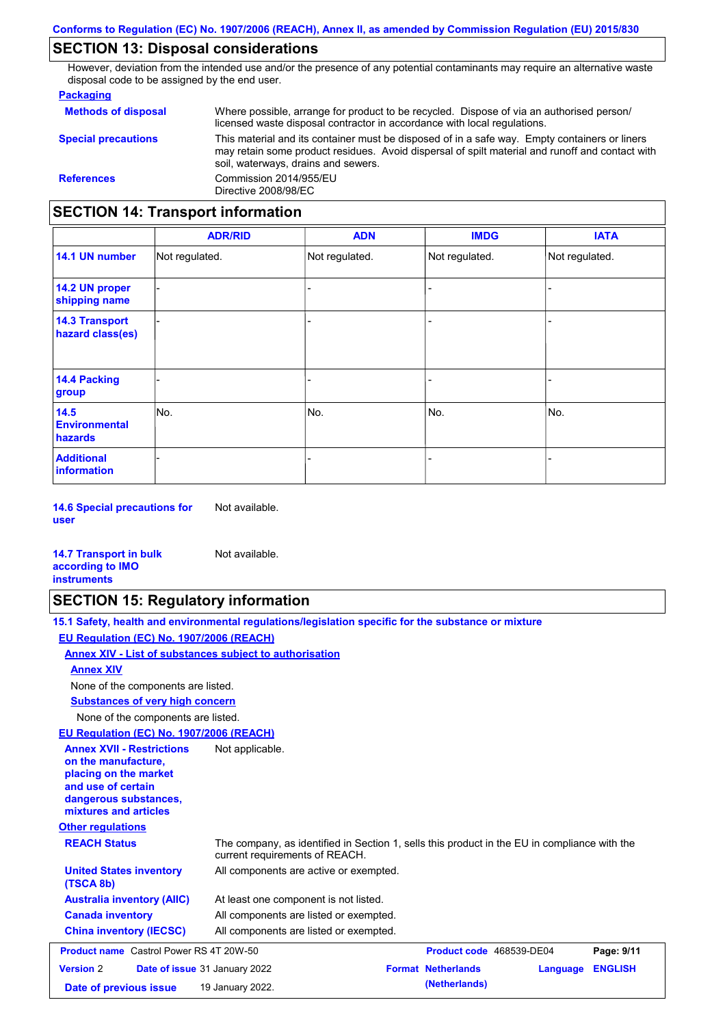# **SECTION 13: Disposal considerations**

However, deviation from the intended use and/or the presence of any potential contaminants may require an alternative waste disposal code to be assigned by the end user.

#### **Packaging**

| <b>Methods of disposal</b>               | Where possible, arrange for product to be recycled. Dispose of via an authorised person/<br>licensed waste disposal contractor in accordance with local regulations.                                                                    |  |
|------------------------------------------|-----------------------------------------------------------------------------------------------------------------------------------------------------------------------------------------------------------------------------------------|--|
| <b>Special precautions</b>               | This material and its container must be disposed of in a safe way. Empty containers or liners<br>may retain some product residues. Avoid dispersal of spilt material and runoff and contact with<br>soil, waterways, drains and sewers. |  |
| <b>References</b>                        | Commission 2014/955/EU<br>Directive 2008/98/EC                                                                                                                                                                                          |  |
| <b>SECTION 14: Transport information</b> |                                                                                                                                                                                                                                         |  |

|                                           | <b>ADR/RID</b> | <b>ADN</b>     | <b>IMDG</b>              | <b>IATA</b>    |
|-------------------------------------------|----------------|----------------|--------------------------|----------------|
| 14.1 UN number                            | Not regulated. | Not regulated. | Not regulated.           | Not regulated. |
| 14.2 UN proper<br>shipping name           |                |                |                          |                |
| <b>14.3 Transport</b><br>hazard class(es) |                |                | $\overline{\phantom{0}}$ |                |
| 14.4 Packing<br>group                     |                |                | $\blacksquare$           |                |
| 14.5<br><b>Environmental</b><br>hazards   | No.            | No.            | No.                      | No.            |
| <b>Additional</b><br>information          |                |                | $\overline{\phantom{0}}$ |                |

**14.6 Special precautions for user** Not available.

#### **14.7 Transport in bulk according to IMO instruments**

# **SECTION 15: Regulatory information**

Not available.

| 15.1 Safety, health and environmental regulations/legislation specific for the substance or mixture |  |
|-----------------------------------------------------------------------------------------------------|--|
| EU Regulation (EC) No. 1907/2006 (REACH)                                                            |  |
| Annex XIV - List of substances subject to authorisation                                             |  |

#### **Annex XIV**

None of the components are listed.

**Substances of very high concern**

None of the components are listed.

## **EU Regulation (EC) No. 1907/2006 (REACH)**

| EU Regulation (EC) No. 1907/2006 (REACH)                                                                                                                 |                                                                                                                                |
|----------------------------------------------------------------------------------------------------------------------------------------------------------|--------------------------------------------------------------------------------------------------------------------------------|
| <b>Annex XVII - Restrictions</b><br>on the manufacture.<br>placing on the market<br>and use of certain<br>dangerous substances,<br>mixtures and articles | Not applicable.                                                                                                                |
| <b>Other regulations</b>                                                                                                                                 |                                                                                                                                |
| <b>REACH Status</b>                                                                                                                                      | The company, as identified in Section 1, sells this product in the EU in compliance with the<br>current requirements of REACH. |
| <b>United States inventory</b><br>(TSCA 8b)                                                                                                              | All components are active or exempted.                                                                                         |
| <b>Australia inventory (AIIC)</b>                                                                                                                        | At least one component is not listed.                                                                                          |
| <b>Canada inventory</b>                                                                                                                                  | All components are listed or exempted.                                                                                         |
| <b>China inventory (IECSC)</b>                                                                                                                           | All components are listed or exempted.                                                                                         |
| <b>Product name</b> Castrol Power RS 4T 20W-50                                                                                                           | Product code 468539-DE04<br>Page: 9/11                                                                                         |
| <b>Version 2</b>                                                                                                                                         | <b>Format Netherlands</b><br><b>ENGLISH</b><br>Date of issue 31 January 2022<br>Language                                       |
| Date of previous issue                                                                                                                                   | (Netherlands)<br>19 January 2022.                                                                                              |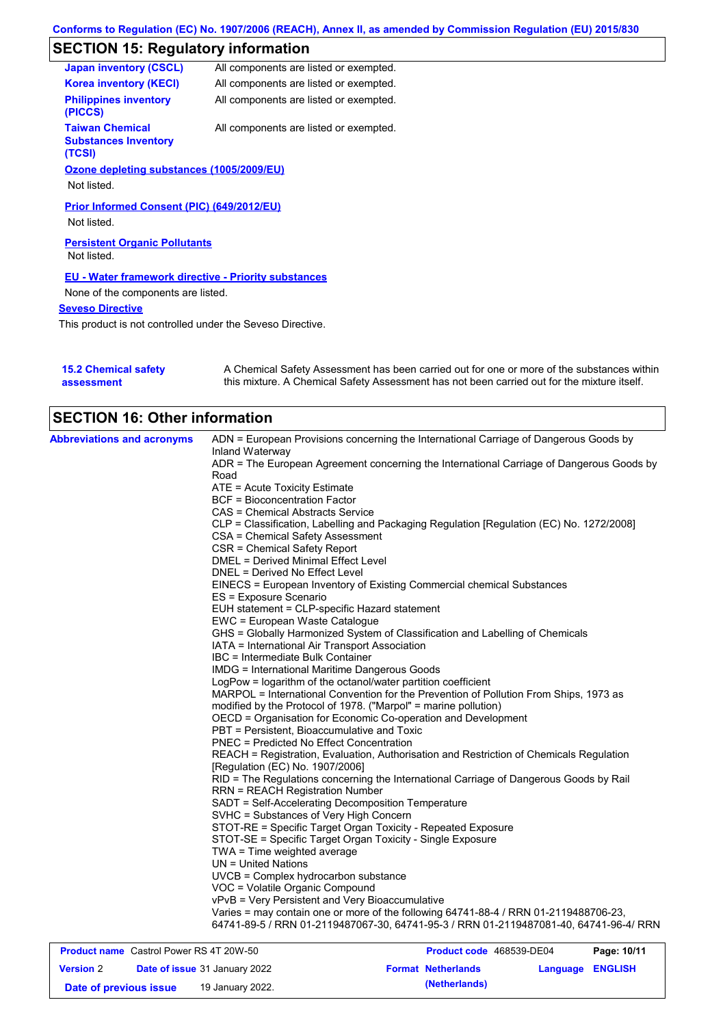# **SECTION 15: Regulatory information**

| <b>Japan inventory (CSCL)</b>                                   | All components are listed or exempted. |
|-----------------------------------------------------------------|----------------------------------------|
| <b>Korea inventory (KECI)</b>                                   | All components are listed or exempted. |
| <b>Philippines inventory</b><br>(PICCS)                         | All components are listed or exempted. |
| <b>Taiwan Chemical</b><br><b>Substances Inventory</b><br>(TCSI) | All components are listed or exempted. |
| Ozone depleting substances (1005/2009/EU)                       |                                        |
| Not listed.                                                     |                                        |
| Prior Informed Consent (PIC) (649/2012/EU)<br>Not listed.       |                                        |
| <b>Persistent Organic Pollutants</b><br>Not listed.             |                                        |
| <b>EU - Water framework directive - Priority substances</b>     |                                        |
| None of the components are listed.                              |                                        |
| <b>Seveso Directive</b>                                         |                                        |

This product is not controlled under the Seveso Directive.

| <b>15.2 Chemical safety</b> | A Chemical Safety Assessment has been carried out for one or more of the substances within  |
|-----------------------------|---------------------------------------------------------------------------------------------|
| assessment                  | this mixture. A Chemical Safety Assessment has not been carried out for the mixture itself. |

| <b>SECTION 16: Other information</b>             |                                                                                                                            |
|--------------------------------------------------|----------------------------------------------------------------------------------------------------------------------------|
| <b>Abbreviations and acronyms</b>                | ADN = European Provisions concerning the International Carriage of Dangerous Goods by<br>Inland Waterway                   |
|                                                  | ADR = The European Agreement concerning the International Carriage of Dangerous Goods by                                   |
|                                                  | Road                                                                                                                       |
|                                                  | ATE = Acute Toxicity Estimate                                                                                              |
|                                                  | <b>BCF = Bioconcentration Factor</b>                                                                                       |
|                                                  | CAS = Chemical Abstracts Service                                                                                           |
|                                                  | CLP = Classification, Labelling and Packaging Regulation [Regulation (EC) No. 1272/2008]                                   |
|                                                  | CSA = Chemical Safety Assessment                                                                                           |
|                                                  | CSR = Chemical Safety Report                                                                                               |
|                                                  | DMEL = Derived Minimal Effect Level                                                                                        |
|                                                  | DNEL = Derived No Effect Level                                                                                             |
|                                                  | EINECS = European Inventory of Existing Commercial chemical Substances                                                     |
|                                                  | ES = Exposure Scenario                                                                                                     |
|                                                  | EUH statement = CLP-specific Hazard statement                                                                              |
|                                                  | EWC = European Waste Catalogue                                                                                             |
|                                                  | GHS = Globally Harmonized System of Classification and Labelling of Chemicals                                              |
|                                                  | IATA = International Air Transport Association                                                                             |
|                                                  | IBC = Intermediate Bulk Container                                                                                          |
|                                                  | <b>IMDG</b> = International Maritime Dangerous Goods                                                                       |
|                                                  | LogPow = logarithm of the octanol/water partition coefficient                                                              |
|                                                  | MARPOL = International Convention for the Prevention of Pollution From Ships, 1973 as                                      |
|                                                  | modified by the Protocol of 1978. ("Marpol" = marine pollution)                                                            |
|                                                  | OECD = Organisation for Economic Co-operation and Development                                                              |
|                                                  | PBT = Persistent, Bioaccumulative and Toxic                                                                                |
|                                                  | PNEC = Predicted No Effect Concentration                                                                                   |
|                                                  | REACH = Registration, Evaluation, Authorisation and Restriction of Chemicals Regulation                                    |
|                                                  | [Regulation (EC) No. 1907/2006]                                                                                            |
|                                                  | RID = The Regulations concerning the International Carriage of Dangerous Goods by Rail                                     |
|                                                  | <b>RRN = REACH Registration Number</b><br>SADT = Self-Accelerating Decomposition Temperature                               |
|                                                  | SVHC = Substances of Very High Concern                                                                                     |
|                                                  |                                                                                                                            |
|                                                  | STOT-RE = Specific Target Organ Toxicity - Repeated Exposure<br>STOT-SE = Specific Target Organ Toxicity - Single Exposure |
|                                                  | $TWA = Time weighted average$                                                                                              |
|                                                  | UN = United Nations                                                                                                        |
|                                                  | UVCB = Complex hydrocarbon substance                                                                                       |
|                                                  | VOC = Volatile Organic Compound                                                                                            |
|                                                  | vPvB = Very Persistent and Very Bioaccumulative                                                                            |
|                                                  | Varies = may contain one or more of the following 64741-88-4 / RRN 01-2119488706-23,                                       |
|                                                  | 64741-89-5 / RRN 01-2119487067-30, 64741-95-3 / RRN 01-2119487081-40, 64741-96-4/ RRN                                      |
|                                                  |                                                                                                                            |
| <b>Broduct name, Castral Power PS 4T 2014 50</b> | <b>Draduct code</b> 469530 DE04<br><b>Dogo: 10/11</b>                                                                      |

| <b>Product name</b> Castrol Power RS 4T 20W-50 |  |                                      | Product code 468539-DE04 |                           | Page: 10/11             |  |
|------------------------------------------------|--|--------------------------------------|--------------------------|---------------------------|-------------------------|--|
| <b>Version 2</b>                               |  | <b>Date of issue 31 January 2022</b> |                          | <b>Format Netherlands</b> | <b>Language ENGLISH</b> |  |
| Date of previous issue                         |  | 19 January 2022.                     |                          | (Netherlands)             |                         |  |